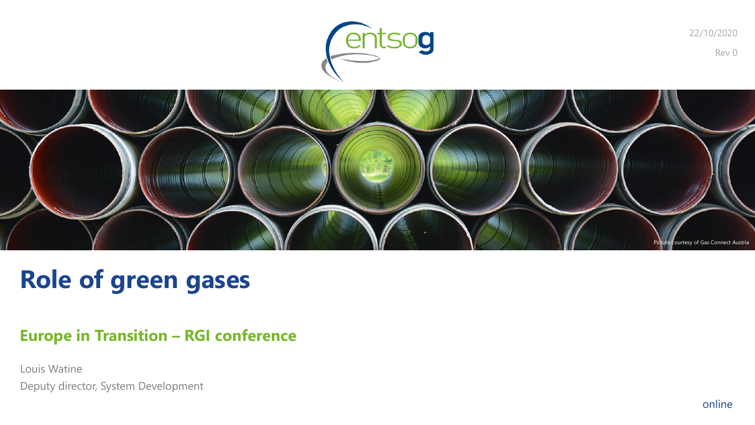



# **Role of green gases**

### **Europe in Transition – RGI conference**

Louis Watine Deputy director, System Development Rev 0

22/10/2020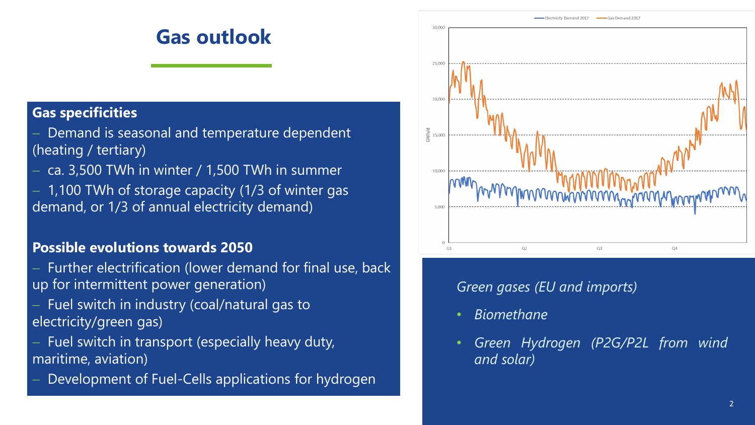## **Gas outlook**

#### **Gas specificities**

- Demand is seasonal and temperature dependent (heating / tertiary)
- − ca. 3,500 TWh in winter / 1,500 TWh in summer − 1,100 TWh of storage capacity (1/3 of winter gas
- demand, or 1/3 of annual electricity demand)

#### **Possible evolutions towards 2050**

- Further electrification (lower demand for final use, back up for intermittent power generation)
- Fuel switch in industry (coal/natural gas to electricity/green gas)
- Fuel switch in transport (especially heavy duty, maritime, aviation)
- Development of Fuel-Cells applications for hydrogen



#### *Green gases (EU and imports)*

- *Biomethane*
- *Green Hydrogen (P2G/P2L from wind and solar)*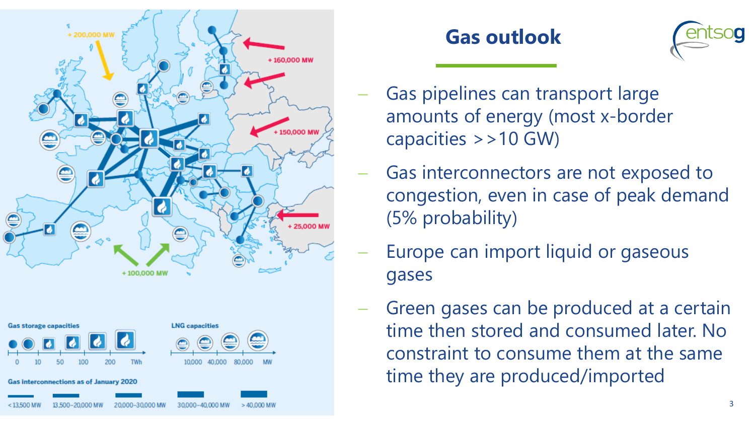





- Gas pipelines can transport large amounts of energy (most x-border capacities >>10 GW)
- Gas interconnectors are not exposed to congestion, even in case of peak demand (5% probability)
- Europe can import liquid or gaseous gases
- Green gases can be produced at a certain time then stored and consumed later. No constraint to consume them at the same time they are produced/imported